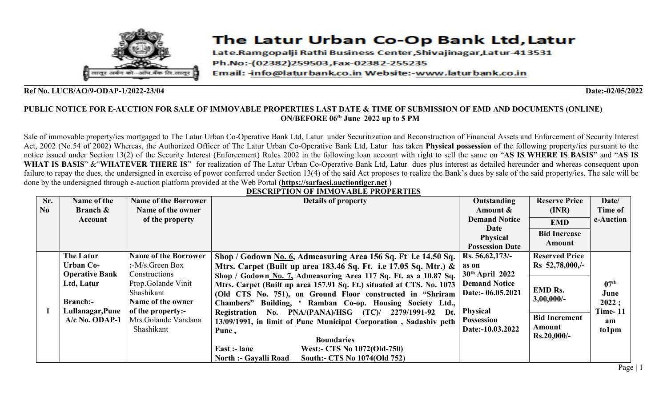

# The Latur Urban Co-Op Bank Ltd, Latur

Late.Ramgopalji Rathi Business Center,Shivajinagar,Latur-413531 Ph.No:-(02382)259503, Fax-02382-255235 Email: info@laturbank.co.in Website:-www.laturbank.co.in

## **Ref No. LUCB/AO/9-ODAP-1/2022-23/04 Date:-02/05/2022**

## PUBLIC NOTICE FOR E-AUCTION FOR SALE OF IMMOVABLE PROPERTIES LAST DATE & TIME OF SUBMISSION OF EMD AND DOCUMENTS (ONLINE) **ON/BEFORE 06 th June 2022 up to 5 PM**

Sale of immovable property/ies mortgaged to The Latur Urban Co-Operative Bank Ltd, Latur under Securitization and Reconstruction of Financial Assets and Enforcement of Security Interest Act, 2002 (No.54 of 2002) Whereas, the Authorized Officer of The Latur Urban Co-Operative Bank Ltd, Latur has taken **Physical possession** of the following property/ies pursuant to the notice issued under Section 13(2) of the Security Interest (Enforcement) Rules 2002 in the following loan account with right to sell the same on "AS IS WHERE IS BASIS" and "AS IS **WHAT IS BASIS**" &"**WHATEVER THERE IS**" for realization of The Latur Urban Co-Operative Bank Ltd, Latur dues plus interest as detailed hereunder and whereas consequent upon failure to repay the dues, the undersigned in exercise of power conferred under Section 13(4) of the said Act proposes to realize the Bank's dues by sale of the said property/ies. The sale will be done by the undersigned through e-auction platform provided at the Web Portal **[\(https://sarfaesi.auctiontiger.net](https://sarfaesi.auctiontiger.net) )**

|     |                       |                             | DESCRII TION OF IMMO VADEE I ROI ERTIES                               |                        |                       |                  |
|-----|-----------------------|-----------------------------|-----------------------------------------------------------------------|------------------------|-----------------------|------------------|
| Sr. | Name of the           | <b>Name of the Borrower</b> | <b>Details of property</b>                                            | Outstanding            | <b>Reserve Price</b>  | Date/            |
| No  | <b>Branch &amp;</b>   | Name of the owner           |                                                                       | Amount &               | (INR)                 | Time of          |
|     | Account               | of the property             |                                                                       | <b>Demand Notice</b>   | <b>EMD</b>            | e-Auction        |
|     |                       |                             |                                                                       | Date                   | <b>Bid Increase</b>   |                  |
|     |                       |                             |                                                                       | <b>Physical</b>        | Amount                |                  |
|     |                       |                             |                                                                       | <b>Possession Date</b> |                       |                  |
|     | <b>The Latur</b>      | <b>Name of the Borrower</b> | Shop / Godown No. 6, Admeasuring Area 156 Sq. Ft i.e 14.50 Sq.        | Rs. 56, 62, 173/-      | <b>Reserved Price</b> |                  |
|     | <b>Urban Co-</b>      | $:$ -M/s. Green Box         | Mtrs. Carpet (Built up area 183.46 Sq. Ft. i.e 17.05 Sq. Mtr.) $\&$   | as on                  | $Rs$ 52,78,000,/-     |                  |
|     | <b>Operative Bank</b> | Constructions               | Shop / Godown No. 7, Admeasuring Area 117 Sq. Ft. as a 10.87 Sq.      | $30th$ April 2022      |                       |                  |
|     | Ltd, Latur            | Prop.Golande Vinit          | Mtrs. Carpet (Built up area 157.91 Sq. Ft.) situated at CTS. No. 1073 | <b>Demand Notice</b>   |                       | 07 <sup>th</sup> |
|     |                       | Shashikant                  | (Old CTS No. 751), on Ground Floor constructed in "Shriram"           | Date:- 06.05.2021      | <b>EMD Rs.</b>        | June             |
|     | <b>Branch:-</b>       | Name of the owner           | Chambers" Building, ' Ramban Co-op. Housing Society Ltd.,             |                        | $3,00,000/$ -         | 2022;            |
|     | Lullanagar, Pune      | of the property:-           | Registration No. PNA/(PANA)/HSG (TC)/ 2279/1991-92<br>Dt.             | <b>Physical</b>        |                       | <b>Time-11</b>   |
|     | $A/c$ No. ODAP-1      | Mrs.Golande Vandana         | 13/09/1991, in limit of Pune Municipal Corporation, Sadashiv peth     | <b>Possession</b>      | <b>Bid Increment</b>  | am               |
|     |                       | Shashikant                  | Pune,                                                                 | Date:-10.03.2022       | Amount                | to1pm            |
|     |                       |                             | <b>Boundaries</b>                                                     |                        | $Rs.20,000/-$         |                  |
|     |                       |                             | <b>West:- CTS No 1072(Old-750)</b><br>East :- lane                    |                        |                       |                  |
|     |                       |                             | South:- CTS No 1074(Old 752)<br><b>North :- Gavalli Road</b>          |                        |                       |                  |

**DESCRIPTION OF IMMOVABLE PROPERTIES**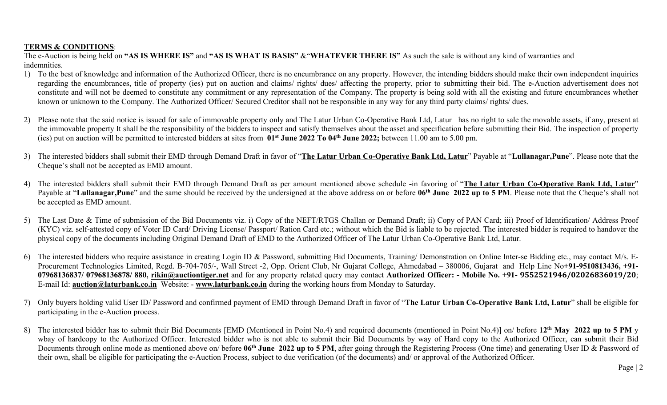# **TERMS & CONDITIONS**:

The e-Auction is being held on "AS IS WHERE IS" and "AS IS WHAT IS BASIS" & "WHATEVER THERE IS" As such the sale is without any kind of warranties and indemnities.

- 1) To the best of knowledge and information of the Authorized Officer, there is no encumbrance on any property. However, the intending bidders should make theirown independent inquiries regarding the encumbrances, title of property (ies) put on auction and claims/ rights/ dues/ affecting the property, prior to submitting their bid. The e-Auction advertisement does not constitute and will not be deemed to constitute any commitment or any representation of the Company. The property is being sold with all the existing and future encumbrances whether known or unknown to the Company. The Authorized Officer/ Secured Creditor shall not be responsible in any way for any third party claims/ rights/ dues.
- 2) Please note that the said notice is issued for sale of immovable property only and The Latur Urban Co-Operative Bank Ltd, Latur has no right to sale the movable assets, if any, present at the immovable property It shall be the responsibility of the bidders to inspect and satisfy themselves about the asset and specification before submitting their Bid. The inspection of property (ies) put on auction will be permitted to interested bidders at sites from **01 st June 2022 To 04 th June 2022;** between 11.00 am to 5.00 pm.
- 3) The interested bidders shall submit their EMD through Demand Draft in favor of "The Latur Urban Co-Operative Bank Ltd, Latur" Payable at "Lullanagar, Pune". Please note that the Cheque's shall not be accepted as EMD amount.
- 4) The interested bidders shall submit their EMD through Demand Draft as per amount mentioned above schedule -in favoring of "The Latur Urban Co-Operative Bank Ltd, Latur" Payable at "Lullanagar,Pune" and the same should be received by the undersigned at the above address on or before 06<sup>th</sup> June 2022 up to 5 PM. Please note that the Cheque's shall not be accepted as EMD amount.
- 5) The Last Date & Time of submission of the Bid Documents viz. i) Copy of the NEFT/RTGS Challan or Demand Draft; ii) Copy of PAN Card; iii) Proof of Identification/ Address Proof (KYC) viz. self-attested copy of Voter ID Card/ Driving License/ Passport/ Ration Card etc.; without which the Bid is liable to be rejected.The interested bidder is required to handover the physical copy of the documents including Original Demand Draft of EMD to the Authorized Officer of The Latur Urban Co-Operative Bank Ltd, Latur.
- 6) The interested bidders who require assistance in creating Login ID & Password, submitting Bid Documents, Training/ Demonstration on Online Inter-se Bidding etc., may contact M/s. E- Procurement Technologies Limited, Regd. B-704-705/-, Wall Street -2, Opp. Orient Club, Nr Gujarat College, Ahmedabad – 380006, Gujarat and Help Line No**+91-9510813436, +91** 07968136837/07968136878/880, [rikin@auctiontiger.net](mailto:ramprasad@auctiontiger.net) and for any property related query may contact Authorized Officer: - Mobile No. +91-9552521946/02026836019/20; E-mail Id: **[auction@laturbank.co.in](mailto:auction@laturbank.co.in)** Website: - **[www.laturbank.co.in](http://www.laturbank.co.in)** during the working hours from Monday to Saturday.
- 7) Only buyers holding valid User ID/ Password and confirmed payment of EMD through Demand Draft in favor of "The Latur Urban Co-Operative Bank Ltd, Latur" shall be eligible for participating in the e-Auction process.
- 8) The interested bidder has to submit their Bid Documents [EMD (Mentioned in Point No.4) and required documents (mentioned in Point No.4)] on/ before 12<sup>th</sup> May 2022 up to 5 PM y wbay of hardcopy to the Authorized Officer. Interested bidder who is not able to submit their Bid Documents by way of Hard copy to the Authorized Officer, can submit their Bid Documents through online mode as mentioned above on/ before 06<sup>th</sup> June 2022 up to 5 PM, after going through the Registering Process (One time) and generating User ID & Password of their own, shall be eligible for participating the e-Auction Process, subject to due verification (of the documents) and/ or approval of the Authorized Officer.